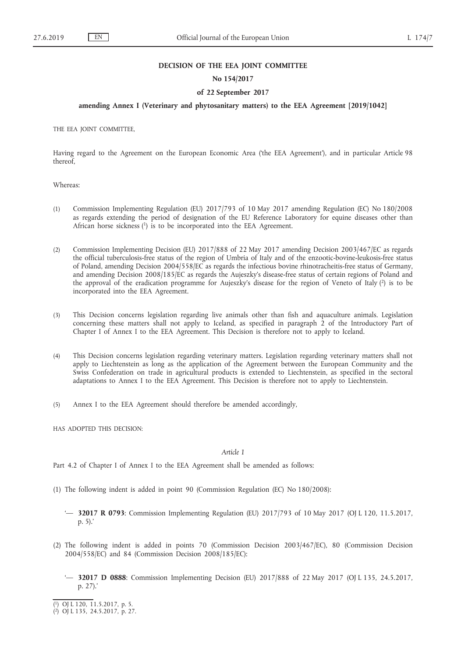### **DECISION OF THE EEA JOINT COMMITTEE**

## **No 154/2017**

## **of 22 September 2017**

# **amending Annex I (Veterinary and phytosanitary matters) to the EEA Agreement [2019/1042]**

THE EEA JOINT COMMITTEE,

Having regard to the Agreement on the European Economic Area ('the EEA Agreement'), and in particular Article 98 thereof,

Whereas:

- (1) Commission Implementing Regulation (EU) 2017/793 of 10 May 2017 amending Regulation (EC) No 180/2008 as regards extending the period of designation of the EU Reference Laboratory for equine diseases other than African horse sickness (1) is to be incorporated into the EEA Agreement.
- (2) Commission Implementing Decision (EU) 2017/888 of 22 May 2017 amending Decision 2003/467/EC as regards the official tuberculosis-free status of the region of Umbria of Italy and of the enzootic-bovine-leukosis-free status of Poland, amending Decision 2004/558/EC as regards the infectious bovine rhinotracheitis-free status of Germany, and amending Decision 2008/185/EC as regards the Aujeszky's disease-free status of certain regions of Poland and the approval of the eradication programme for Aujeszky's disease for the region of Veneto of Italy (2) is to be incorporated into the EEA Agreement.
- (3) This Decision concerns legislation regarding live animals other than fish and aquaculture animals. Legislation concerning these matters shall not apply to Iceland, as specified in paragraph 2 of the Introductory Part of Chapter I of Annex I to the EEA Agreement. This Decision is therefore not to apply to Iceland.
- (4) This Decision concerns legislation regarding veterinary matters. Legislation regarding veterinary matters shall not apply to Liechtenstein as long as the application of the Agreement between the European Community and the Swiss Confederation on trade in agricultural products is extended to Liechtenstein, as specified in the sectoral adaptations to Annex I to the EEA Agreement. This Decision is therefore not to apply to Liechtenstein.
- (5) Annex I to the EEA Agreement should therefore be amended accordingly,

HAS ADOPTED THIS DECISION:

*Article 1*

Part 4.2 of Chapter I of Annex I to the EEA Agreement shall be amended as follows:

- (1) The following indent is added in point 90 (Commission Regulation (EC) No 180/2008):
	- '— **32017 R 0793**: Commission Implementing Regulation (EU) 2017/793 of 10 May 2017 (OJ L 120, 11.5.2017, p. 5).'
- (2) The following indent is added in points 70 (Commission Decision 2003/467/EC), 80 (Commission Decision 2004/558/EC) and 84 (Commission Decision 2008/185/EC):
	- '— **32017 D 0888**: Commission Implementing Decision (EU) 2017/888 of 22 May 2017 (OJ L 135, 24.5.2017, p. 27).'

<sup>(</sup> 1) OJ L 120, 11.5.2017, p. 5.

<sup>(</sup> 2) OJ L 135, 24.5.2017, p. 27.